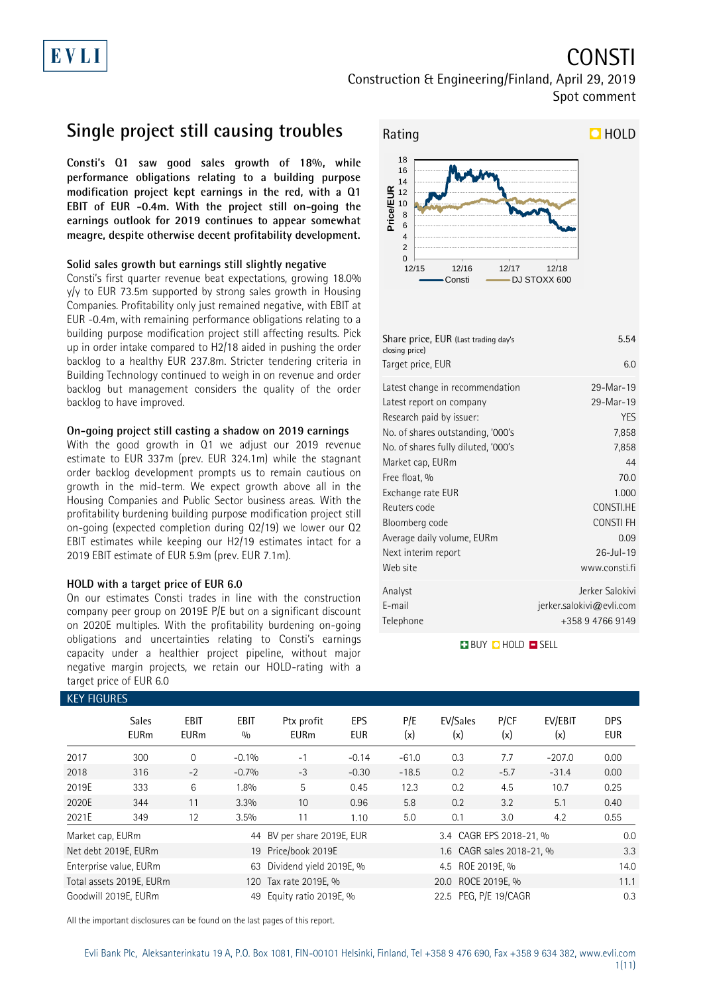# EVLI

# CONSTI

Construction & Engineering/Finland, April 29, 2019 Spot comment

## **Single project still causing troubles**

**Consti's Q1 saw good sales growth of 18%, while performance obligations relating to a building purpose modification project kept earnings in the red, with a Q1 EBIT of EUR -0.4m. With the project still on-going the earnings outlook for 2019 continues to appear somewhat meagre, despite otherwise decent profitability development.**

### **Solid sales growth but earnings still slightly negative**

Consti's first quarter revenue beat expectations, growing 18.0% y/y to EUR 73.5m supported by strong sales growth in Housing Companies. Profitability only just remained negative, with EBIT at EUR -0.4m, with remaining performance obligations relating to a building purpose modification project still affecting results. Pick up in order intake compared to H2/18 aided in pushing the order backlog to a healthy EUR 237.8m. Stricter tendering criteria in Building Technology continued to weigh in on revenue and order backlog but management considers the quality of the order backlog to have improved.

### **On-going project still casting a shadow on 2019 earnings**

With the good growth in Q1 we adjust our 2019 revenue estimate to EUR 337m (prev. EUR 324.1m) while the stagnant order backlog development prompts us to remain cautious on growth in the mid-term. We expect growth above all in the Housing Companies and Public Sector business areas. With the profitability burdening building purpose modification project still on-going (expected completion during Q2/19) we lower our Q2 EBIT estimates while keeping our H2/19 estimates intact for a 2019 EBIT estimate of EUR 5.9m (prev. EUR 7.1m).

### **HOLD with a target price of EUR 6.0**

On our estimates Consti trades in line with the construction company peer group on 2019E P/E but on a significant discount on 2020E multiples. With the profitability burdening on-going obligations and uncertainties relating to Consti's earnings capacity under a healthier project pipeline, without major negative margin projects, we retain our HOLD-rating with a target price of EUR 6.0



| Share price, EUR (Last trading day's<br>closing price)      | 5.54                                                               |
|-------------------------------------------------------------|--------------------------------------------------------------------|
| Target price, EUR                                           | 60                                                                 |
| Latest change in recommendation<br>Latest report on company | 29-Mar-19<br>29-Mar-19                                             |
| Research paid by issuer:                                    | <b>YES</b>                                                         |
| No. of shares outstanding, '000's                           | 7,858                                                              |
| No. of shares fully diluted, '000's                         | 7,858                                                              |
| Market cap, EURm                                            | 44                                                                 |
| Free float, %                                               | 70.0                                                               |
| Exchange rate EUR                                           | 1.000                                                              |
| Reuters code                                                | CONSTI.HE                                                          |
| Bloomberg code                                              | <b>CONSTIFH</b>                                                    |
| Average daily volume, EURm                                  | 0.09                                                               |
| Next interim report                                         | 26-Jul-19                                                          |
| Web site                                                    | www.consti.fi                                                      |
| Analyst<br>E-mail<br>Telephone                              | Jerker Salokivi<br>$j$ erker.salokivi@evli.com<br>+358 9 4766 9149 |

### **BUY QHOLD SELL**

| <b>KEY FIGURES</b> |                             |                            |                    |                                         |                                                |            |                           |             |                |                          |
|--------------------|-----------------------------|----------------------------|--------------------|-----------------------------------------|------------------------------------------------|------------|---------------------------|-------------|----------------|--------------------------|
|                    | <b>Sales</b><br><b>EURm</b> | <b>EBIT</b><br><b>EURm</b> | <b>EBIT</b><br>0/0 | Ptx profit<br><b>EURm</b>               | <b>EPS</b><br><b>EUR</b>                       | P/E<br>(x) | EV/Sales<br>(x)           | P/CF<br>(x) | EV/EBIT<br>(x) | <b>DPS</b><br><b>EUR</b> |
| 2017               | 300                         | $\Omega$                   | $-0.1%$            | $-1$                                    | $-0.14$                                        | $-61.0$    | 0.3                       | 7.7         | $-207.0$       | 0.00                     |
| 2018               | 316                         | $-2$                       | $-0.7%$            | $-3$                                    | $-0.30$                                        | $-18.5$    | 0.2                       | $-5.7$      | $-31.4$        | 0.00                     |
| 2019E              | 333                         | 6                          | 1.8%               | 5                                       | 0.45                                           | 12.3       | 0.2                       | 4.5         | 10.7           | 0.25                     |
| 2020E              | 344                         | 11                         | 3.3%               | 10                                      | 0.96                                           | 5.8        | 0.2                       | 3.2         | 5.1            | 0.40                     |
| 2021E              | 349                         | 12                         | 3.5%               | 11                                      | 1.10                                           | 5.0        | 0.1                       | 3.0         | 4.2            | 0.55                     |
| Market cap, EURm   |                             |                            |                    | 44 BV per share 2019E, EUR              |                                                |            | 3.4 CAGR EPS 2018-21, %   |             |                | 0.0                      |
|                    | Net debt 2019E, EURm        |                            |                    | 19 Price/book 2019E                     |                                                |            | 1.6 CAGR sales 2018-21, % |             |                | 3.3                      |
|                    | Enterprise value, EURm      |                            | 63                 | Dividend yield 2019E, %                 |                                                |            | 4.5 ROE 2019E. %          |             |                | 14.0                     |
|                    | Total assets 2019E, EURm    |                            | 120                | 20.0 ROCE 2019E, %<br>Tax rate 2019E, % |                                                |            |                           |             |                | 11.1                     |
|                    | Goodwill 2019E, EURm        |                            | 49                 |                                         | 22.5 PEG, P/E 19/CAGR<br>Equity ratio 2019E, % |            |                           |             |                |                          |

All the important disclosures can be found on the last pages of this report.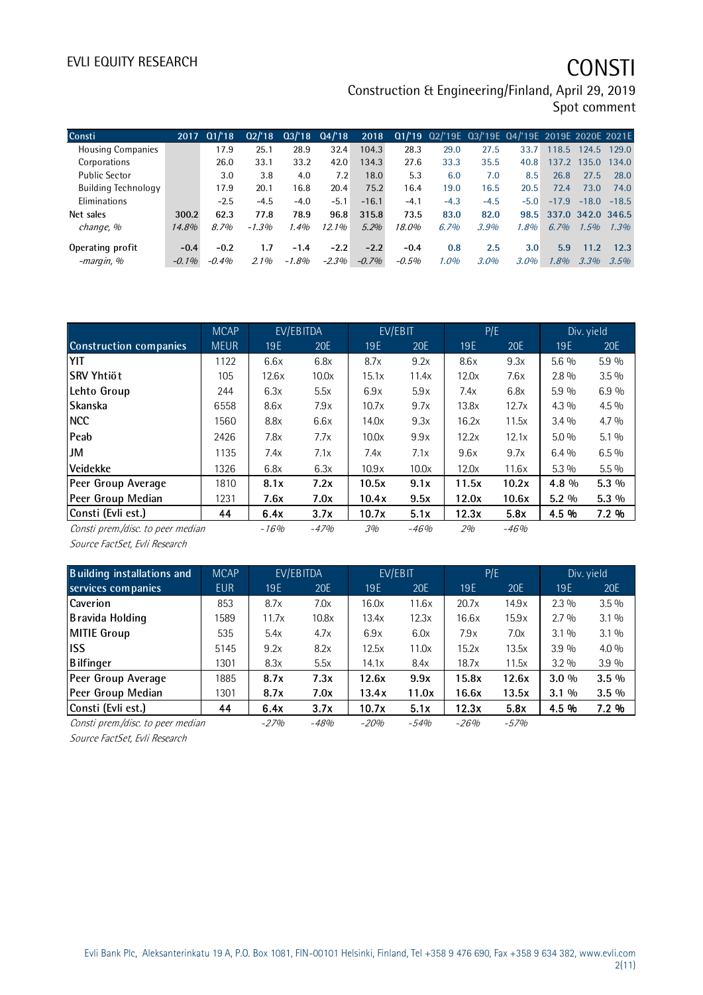Construction & Engineering/Finland, April 29, 2019 Spot comment

| Consti                     | 2017     | Q1/18    | Q2/18   |          | $Q3/18$ $Q4/18$ | 2018    |          | Q1/'19 Q2/'19E Q3/'19E Q4/'19E 2019E 2020E 2021E |        |        |         |                   |         |
|----------------------------|----------|----------|---------|----------|-----------------|---------|----------|--------------------------------------------------|--------|--------|---------|-------------------|---------|
| <b>Housing Companies</b>   |          | 17.9     | 25.1    | 28.9     | 32.4            | 104.3   | 28.3     | 29.0                                             | 27.5   | 33.7   | 118.5   | 124.5             | 129.0   |
| Corporations               |          | 26.0     | 33.1    | 33.2     | 42.0            | 134.3   | 27.6     | 33.3                                             | 35.5   | 40.8   | 137.2   | 135.0             | 134.0   |
| <b>Public Sector</b>       |          | 3.0      | 3.8     | 4.0      | 7.2             | 18.0    | 5.3      | 6.0                                              | 7.0    | 8.5    | 26.8    | 27.5              | 28.0    |
| <b>Building Technology</b> |          | 17.9     | 20.1    | 16.8     | 20.4            | 75.2    | 16.4     | 19.0                                             | 16.5   | 20.5   | 72.4    | 73.0              | 74.0    |
| Eliminations               |          | $-2.5$   | $-4.5$  | $-4.0$   | $-5.1$          | $-16.1$ | $-4.1$   | $-4.3$                                           | $-4.5$ | $-5.0$ | $-17.9$ | $-18.0$           | $-18.5$ |
| Net sales                  | 300.2    | 62.3     | 77.8    | 78.9     | 96.8            | 315.8   | 73.5     | 83.0                                             | 82.0   | 98.5   |         | 337.0 342.0 346.5 |         |
| change, %                  | 14.8%    | 8.7%     | $-1.3%$ | 1.4%     | 12.1%           | 5.2%    | 18.0%    | 6.7%                                             | 3.9%   | 1.8%   | $6.7\%$ | 1.5%              | 1.3%    |
| Operating profit           | $-0.4$   | $-0.2$   | 1.7     | $-1.4$   | $-2.2$          | $-2.2$  | $-0.4$   | 0.8                                              | 2.5    | 3.0    | 5.9     | 11.2              | 12.3    |
| -margin, %                 | $-0.1\%$ | $-0.4\%$ | 2.1%    | $-1.8\%$ | $-2.3%$         | $-0.7%$ | $-0.5\%$ | $1.0\%$                                          | 3.0%   | 3.0%   | 1.8%    | 3.3%              | 3.5%    |

|                                   | <b>MCAP</b> |        | EV/EBITDA | EV/EBIT    |        |       | P/E        |         | Div. yield |
|-----------------------------------|-------------|--------|-----------|------------|--------|-------|------------|---------|------------|
| <b>Construction companies</b>     | <b>MEUR</b> | 19E    | 20E       | <b>19E</b> | 20E    | 19E   | <b>20E</b> | 19E     | 20E        |
| YIT                               | 1122        | 6.6x   | 6.8x      | 8.7x       | 9.2x   | 8.6x  | 9.3x       | $5.6\%$ | 5.9%       |
| lSRV Yhtiöt                       | 105         | 12.6x  | 10.0x     | 15.1x      | 11.4x  | 12.0x | 7.6x       | $2.8\%$ | $3.5\%$    |
| Lehto Group                       | 244         | 6.3x   | 5.5x      | 6.9x       | 5.9x   | 7.4x  | 6.8x       | 5.9 %   | 6.9%       |
| <b>Skanska</b>                    | 6558        | 8.6x   | 7.9x      | 10.7x      | 9.7x   | 13.8x | 12.7x      | $4.3\%$ | $4.5\%$    |
| <b>NCC</b>                        | 1560        | 8.8x   | 6.6x      | 14.0x      | 9.3x   | 16.2x | 11.5x      | $3.4\%$ | $4.7\%$    |
| <b>Peab</b>                       | 2426        | 7.8x   | 7.7x      | 10.0x      | 9.9x   | 12.2x | 12.1x      | $5.0\%$ | $5.1\%$    |
| JM                                | 1135        | 7.4x   | 7.1x      | 7.4x       | 7.1x   | 9.6x  | 9.7x       | $6.4\%$ | $6.5\%$    |
| <b>Veidekke</b>                   | 1326        | 6.8x   | 6.3x      | 10.9x      | 10.0x  | 12.0x | 11.6x      | $5.3\%$ | $5.5\%$    |
| Peer Group Average                | 1810        | 8.1x   | 7.2x      | 10.5x      | 9.1x   | 11.5x | 10.2x      | 4.8 %   | $5.3\%$    |
| Peer Group Median                 | 1231        | 7.6x   | 7.0x      | 10.4x      | 9.5x   | 12.0x | 10.6x      | $5.2\%$ | $5.3\%$    |
| Consti (Evli est.)                | 44          | 6.4x   | 3.7x      | 10.7x      | 5.1x   | 12.3x | 5.8x       | 4.5 %   | 7.2 %      |
| Consti prem./disc. to peer median |             | $-16%$ | $-47%$    | 3%         | $-46%$ | 2%    | $-46%$     |         |            |

Source FactSet, Evli Research

| <b>Building installations and</b> | <b>MCAP</b> |        | EV/EBITDA | EV/EBIT    |        | P/E    |        |         | Div. yield |
|-----------------------------------|-------------|--------|-----------|------------|--------|--------|--------|---------|------------|
| services companies                | <b>EUR</b>  | 19 E   | 20E       | <b>19E</b> | 20E    | 19E    | 20E    | 19E     | 20E        |
| Caverion                          | 853         | 8.7x   | 7.0x      | 16.0x      | 11.6x  | 20.7x  | 14.9x  | $2.3\%$ | $3.5\%$    |
| B ravida Holding                  | 1589        | 11.7x  | 10.8x     | 13.4x      | 12.3x  | 16.6x  | 15.9x  | $2.7\%$ | $3.1\%$    |
| MITIE Group                       | 535         | 5.4x   | 4.7x      | 6.9x       | 6.0x   | 7.9x   | 7.0x   | $3.1\%$ | $3.1\%$    |
| liss                              | 5145        | 9.2x   | 8.2x      | 12.5x      | 11.0x  | 15.2x  | 13.5x  | 3.9%    | $4.0\%$    |
| <b>B</b> ilfinger                 | 1301        | 8.3x   | 5.5x      | 14.1x      | 8.4x   | 18.7x  | 11.5x  | $3.2\%$ | 3.9%       |
| Peer Group Average                | 1885        | 8.7x   | 7.3x      | 12.6x      | 9.9x   | 15.8x  | 12.6x  | $3.0\%$ | $3.5\%$    |
| Peer Group Median                 | 1301        | 8.7x   | 7.0x      | 13.4x      | 11.0x  | 16.6x  | 13.5x  | $3.1\%$ | $3.5\%$    |
| Consti (Evli est.)                | 44          | 6.4x   | 3.7x      | 10.7x      | 5.1x   | 12.3x  | 5.8x   | 4.5 %   | 7.2%       |
| Consti prem./disc. to peer median |             | $-27%$ | $-48%$    | $-20%$     | $-54%$ | $-26%$ | $-57%$ |         |            |

Source FactSet, Evli Research

Evli Bank Plc, Aleksanterinkatu 19 A, P.O. Box 1081, FIN-00101 Helsinki, Finland, Tel +358 9 476 690, Fax +358 9 634 382, [www.evli.com](http://www.evli.com/) 2(11)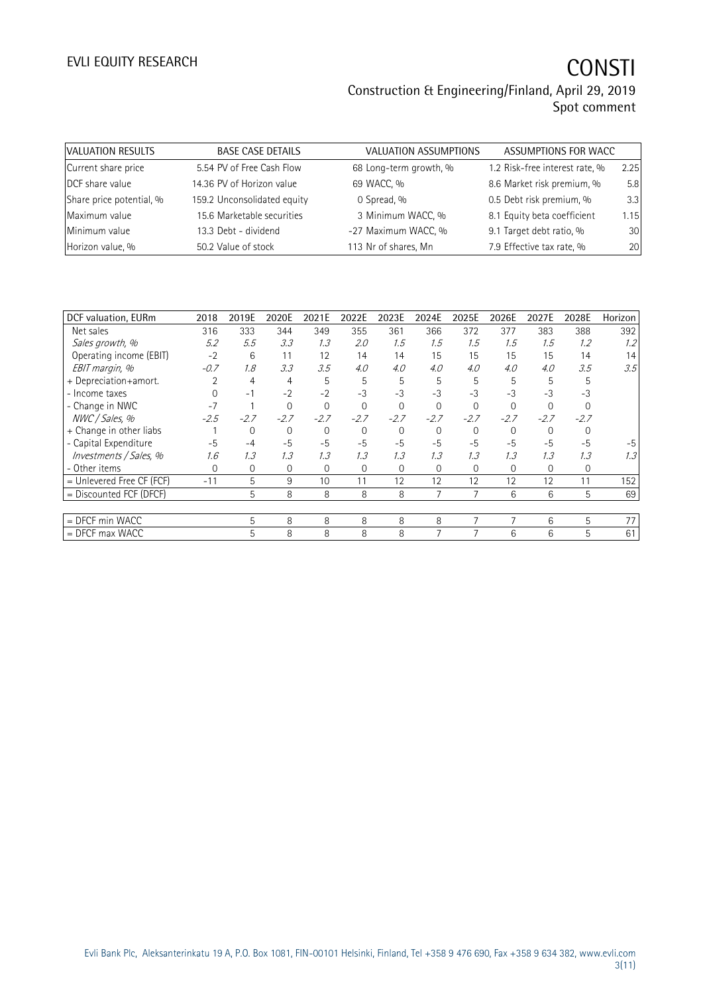### Construction & Engineering/Finland, April 29, 2019 Spot comment

| VALUATION RESULTS        | <b>BASE CASE DETAILS</b>    | <b>VALUATION ASSUMPTIONS</b> | ASSUMPTIONS FOR WACC           |      |
|--------------------------|-----------------------------|------------------------------|--------------------------------|------|
| Current share price      | 5.54 PV of Free Cash Flow   | 68 Long-term growth, %       | 1.2 Risk-free interest rate, % | 2.25 |
| DCF share value          | 14.36 PV of Horizon value   | 69 WACC, %                   | 8.6 Market risk premium, %     | 5.8  |
| Share price potential, % | 159.2 Unconsolidated equity | 0 Spread, %                  | 0.5 Debt risk premium, %       | 3.3  |
| Maximum value            | 15.6 Marketable securities  | 3 Minimum WACC, %            | 8.1 Equity beta coefficient    | 1.15 |
| Minimum value            | 13.3 Debt - dividend        | -27 Maximum WACC, %          | 9.1 Target debt ratio, %       | 30   |
| Horizon value, %         | 50.2 Value of stock         | 113 Nr of shares, Mn         | 7.9 Effective tax rate, %      | 20   |

| DCF valuation, EURm         | 2018   | 2019E          | 2020E    | 2021E  | 2022E    | 2023E    | 2024E    | 2025E    | 2026E          | 2027E  | 2028E  | Horizon |
|-----------------------------|--------|----------------|----------|--------|----------|----------|----------|----------|----------------|--------|--------|---------|
| Net sales                   | 316    | 333            | 344      | 349    | 355      | 361      | 366      | 372      | 377            | 383    | 388    | 392     |
| Sales growth, %             | 5.2    | 5.5            | 3.3      | 1.3    | 2.0      | 1.5      | 1.5      | 1.5      | 1.5            | 1.5    | 1.2    | 1.2     |
| Operating income (EBIT)     | $-2$   | 6              | 11       | 12     | 14       | 14       | 15       | 15       | 15             | 15     | 14     | 14      |
| EBIT margin, %              | $-0.7$ | 1.8            | 3.3      | 3.5    | 4.0      | 4.0      | 4.0      | 4.0      | 4.0            | 4.0    | 3.5    | 3.5     |
| + Depreciation+amort.       |        | 4              | 4        | 5      | 5        | 5        | 5        | 5        | 5              | 5      | 5      |         |
| - Income taxes              |        | $-1$           | $-2$     | $-2$   | $-3$     | $-3$     | $-3$     | $-3$     | $-3$           | $-3$   | $-3$   |         |
| - Change in NWC             | $-7$   |                | $\Omega$ |        | $\Omega$ | $\Omega$ | $\Omega$ | $\Omega$ |                |        |        |         |
| NWC / Sales, %              | $-2.5$ | $-2.7$         | $-2.7$   | $-2.7$ | $-2.7$   | $-2.7$   | $-2.7$   | $-2.7$   | $-2.7$         | $-2.7$ | $-2.7$ |         |
| + Change in other liabs     |        | 0              | 0        |        | 0        | $\Omega$ | 0        | 0        | $\Omega$       |        |        |         |
| - Capital Expenditure       | $-5$   | $-4$           | $-5$     | $-5$   | $-5$     | $-5$     | $-5$     | $-5$     | $-5$           | $-5$   | $-5$   |         |
| Investments / Sales, %      | 1.6    | 1.3            | 1.3      | 1.3    | 1.3      | 1.3      | 1.3      | 1.3      | 1.3            | 1.3    | 1.3    | 1.3     |
| - Other items               | 0      | $\overline{0}$ | $\Omega$ | 0      | 0        | $\Omega$ | 0        | 0        | $\overline{0}$ | 0      | 0      |         |
| $=$ Unlevered Free CF (FCF) | $-11$  | 5              | 9        | 10     | 11       | 12       | 12       | 12       | 12             | 12     | 11     | 152     |
| = Discounted FCF (DFCF)     |        | 5              | 8        | 8      | 8        | 8        |          | 7        | 6              | 6      | 5      | 69      |
|                             |        |                |          |        |          |          |          |          |                |        |        |         |
| = DFCF min WACC             |        | 5              | 8        | 8      | 8        | 8        | 8        | 7        | 7              | 6      | 5      | 77      |
| $=$ DFCF max WACC           |        | 5              | 8        | 8      | 8        | 8        |          |          | 6              | 6      | 5      | 61      |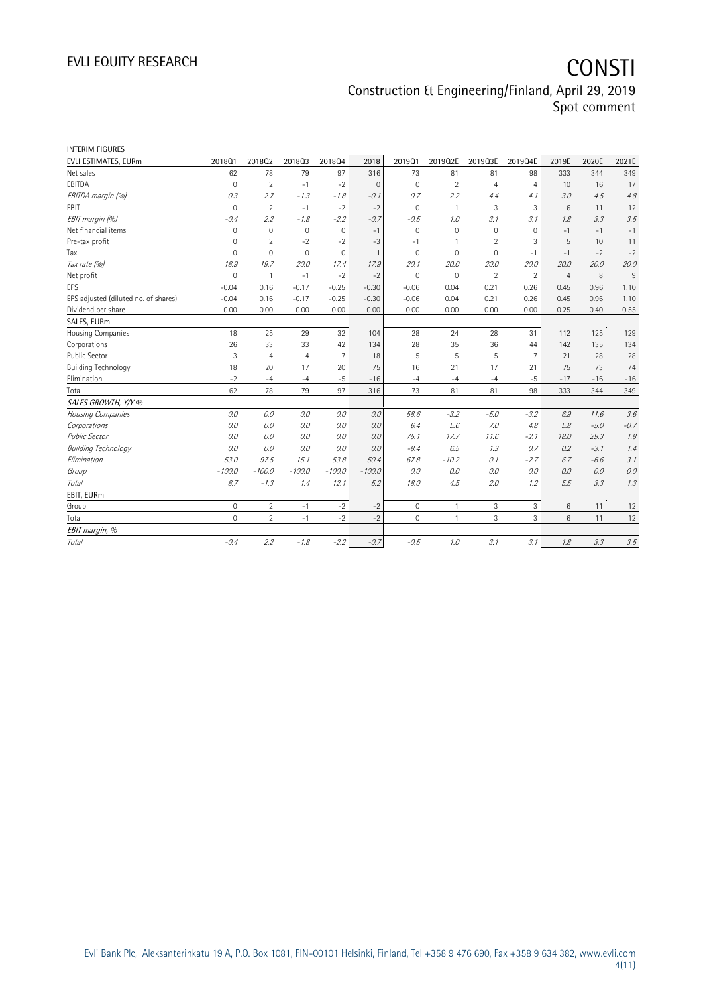### Construction & Engineering/Finland, April 29, 2019 Spot comment

| <b>INTERIM FIGURES</b>               |                     |                |                |                |                |             |                |                |                |                |        |        |
|--------------------------------------|---------------------|----------------|----------------|----------------|----------------|-------------|----------------|----------------|----------------|----------------|--------|--------|
| EVLI ESTIMATES, EURm                 | 201801              | 201802         | 201803         | 201804         | 2018           | 2019Q1      | 2019Q2E        | 2019Q3E        | 2019Q4E        | 2019E          | 2020E  | 2021E  |
| Net sales                            | 62                  | 78             | 79             | 97             | 316            | 73          | 81             | 81             | 98             | 333            | 344    | 349    |
| EBITDA                               | $\mathbf 0$         | $\overline{2}$ | $-1$           | $-2$           | $\mathbf{0}$   | $\mathbf 0$ | $\overline{2}$ | $\overline{4}$ | $\overline{4}$ | 10             | 16     | 17     |
| EBITDA margin (%)                    | 0.3                 | 2.7            | $-1.3$         | $-1.8$         | $-0.1$         | 0.7         | 2.2            | 4.4            | 4. 1           | 3.0            | 4.5    | 4.8    |
| <b>FBIT</b>                          | $\Omega$            | $\overline{2}$ | $-1$           | $-2$           | $-2$           | $\Omega$    | $\mathbf{1}$   | 3              | 3              | 6              | 11     | 12     |
| EBIT margin (%)                      | $-0.4$              | 2.2            | $-1.8$         | $-2.2$         | $-0.7$         | $-0.5$      | 1.0            | 3.1            | 3.1            | 1.8            | 3.3    | 3.5    |
| Net financial items                  | $\mathbf 0$         | $\mathbf 0$    | $\mathbf{0}$   | $\mathbf 0$    | $-1$           | $\mathbf 0$ | 0              | 0              | 0              | $-1$           | $-1$   | $-1$   |
| Pre-tax profit                       | 0                   | $\overline{2}$ | $-2$           | $-2$           | $-3$           | $-1$        | 1              | $\overline{2}$ | 3              | 5              | 10     | 11     |
| Tax                                  | $\mathbf 0$         | $\mathbf{0}$   | $\mathbf{0}$   | $\overline{0}$ | $\overline{1}$ | $\mathbf 0$ | $\mathbf{0}$   | $\mathbf 0$    | $-1$           | $-1$           | $-2$   | $-2$   |
| Tax rate (%)                         | 18.9                | 19.7           | 20.0           | 17.4           | 17.9           | 20.1        | 20.0           | 20.0           | 20.0           | 20.0           | 20.0   | 20.0   |
| Net profit                           | $\mathbf 0$         | $\overline{1}$ | $-1$           | $-2$           | $-2$           | $\mathbf 0$ | $\mathbf 0$    | $\overline{2}$ | $\overline{2}$ | $\overline{4}$ | 8      | 9      |
| EPS                                  | $-0.04$             | 0.16           | $-0.17$        | $-0.25$        | $-0.30$        | $-0.06$     | 0.04           | 0.21           | 0.26           | 0.45           | 0.96   | 1.10   |
| EPS adjusted (diluted no. of shares) | $-0.04$             | 0.16           | $-0.17$        | $-0.25$        | $-0.30$        | $-0.06$     | 0.04           | 0.21           | 0.26           | 0.45           | 0.96   | 1.10   |
| Dividend per share                   | 0.00                | 0.00           | 0.00           | 0.00           | 0.00           | 0.00        | 0.00           | 0.00           | 0.00           | 0.25           | 0.40   | 0.55   |
| SALES, EURm                          |                     |                |                |                |                |             |                |                |                |                |        |        |
| Housing Companies                    | 18                  | 25             | 29             | 32             | 104            | 28          | 24             | 28             | 31             | 112            | 125    | 129    |
| Corporations                         | 26                  | 33             | 33             | 42             | 134            | 28          | 35             | 36             | 44             | 142            | 135    | 134    |
| Public Sector                        | 3                   | $\overline{4}$ | $\overline{4}$ | $\overline{7}$ | 18             | 5           | 5              | 5              | 7              | 21             | 28     | 28     |
| <b>Building Technology</b>           | 18                  | 20             | 17             | 20             | 75             | 16          | 21             | 17             | 21             | 75             | 73     | 74     |
| Elimination                          | $-2$                | $-4$           | $-4$           | $-5$           | $-16$          | $-4$        | $-4$           | $-4$           | $-5$           | $-17$          | $-16$  | $-16$  |
| Total                                | 62                  | 78             | 79             | 97             | 316            | 73          | 81             | 81             | 98             | 333            | 344    | 349    |
| SALES GROWTH, Y/Y %                  |                     |                |                |                |                |             |                |                |                |                |        |        |
| Housing Companies                    | 0.0                 | 0.0            | 0.0            | 0.0            | 0.0            | 58.6        | $-3.2$         | $-5.0$         | $-3.2$         | 6.9            | 11.6   | 3.6    |
| Corporations                         | 0.0                 | 0.0            | 0.0            | 0.0            | 0.0            | 6.4         | 5.6            | 7.0            | 4.8            | 5.8            | $-5.0$ | $-0.7$ |
| <b>Public Sector</b>                 | 0.0                 | 0.0            | 0.0            | 0.0            | 0.0            | 75.1        | 17.7           | 11.6           | $-2.1$         | 18.0           | 29.3   | 1.8    |
| <b>Building Technology</b>           | 0.0                 | 0.0            | 0.0            | 0.0            | 0.0            | $-8.4$      | 6.5            | 1.3            | 0.7            | 0.2            | $-3.1$ | 1.4    |
| Elimination                          | 53.0                | 97.5           | 15.1           | 53.8           | 50.4           | 67.8        | $-10.2$        | 0.1            | $-2.7$         | 6.7            | $-6.6$ | 3.1    |
| Group                                | $-100.0$            | $-100.0$       | $-100.0$       | $-100.0$       | $-100.0$       | 0.0         | 0.0            | 0.0            | 0.0            | 0.0            | 0.0    | 0.0    |
| Total                                | 8.7                 | $-1.3$         | 1.4            | 12.1           | 5.2            | 18.0        | 4.5            | 2.0            | 1.2            | 5.5            | 3.3    | 1.3    |
| EBIT, EURm                           |                     |                |                |                |                |             |                |                |                |                |        |        |
| Group                                | $\mathsf{O}\xspace$ | $\overline{2}$ | $-1$           | $-2$           | $-2$           | 0           | 1              | 3              | 3              | 6              | 11     | 12     |
| Total                                | $\mathbf 0$         | $\overline{2}$ | $-1$           | $-2$           | $-2$           | $\mathbf 0$ | $\mathbf{1}$   | 3              | $\overline{3}$ | 6              | 11     | 12     |
| EBIT margin, %                       |                     |                |                |                |                |             |                |                |                |                |        |        |
| Total                                | $-0.4$              | 2.2            | $-1.8$         | $-2.2$         | $-0.7$         | $-0.5$      | 1.0            | 3.1            | 3.1            | 1.8            | 3.3    | 3.5    |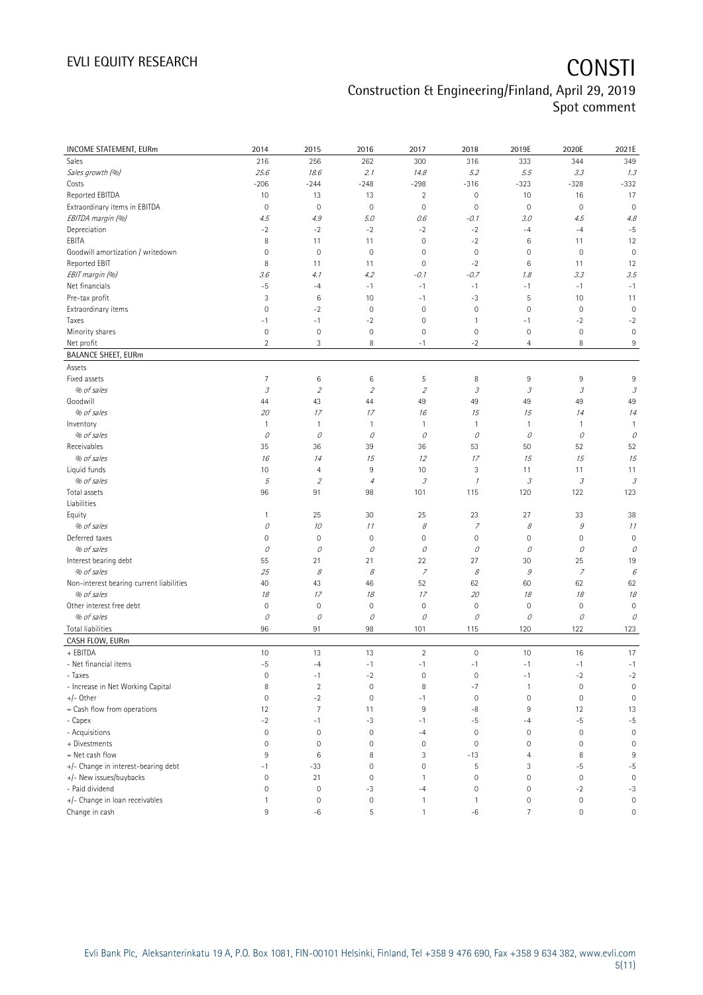### Construction & Engineering/Finland, April 29, 2019 Spot comment

| <b>INCOME STATEMENT, EURm</b>            | 2014                                                                                                                                                                                                                                                                                                                                                                                                                                                      | 2015                        | 2016                     | 2017                | 2018                        | 2019E                      | 2020E               | 2021E                       |
|------------------------------------------|-----------------------------------------------------------------------------------------------------------------------------------------------------------------------------------------------------------------------------------------------------------------------------------------------------------------------------------------------------------------------------------------------------------------------------------------------------------|-----------------------------|--------------------------|---------------------|-----------------------------|----------------------------|---------------------|-----------------------------|
| Sales                                    | 216                                                                                                                                                                                                                                                                                                                                                                                                                                                       | 256                         | 262                      | 300                 | 316                         | 333                        | 344                 | 349                         |
| Sales growth (%)                         | 25.6                                                                                                                                                                                                                                                                                                                                                                                                                                                      | 18.6                        | 2.1                      | 14.8                | 5.2                         | 5.5                        | 3.3                 | 1.3                         |
| Costs                                    | $-206$                                                                                                                                                                                                                                                                                                                                                                                                                                                    | $-244$                      | $-248$                   | $-298$              | $-316$                      | $-323$                     | $-328$              | $-332$                      |
| Reported EBITDA                          | 10                                                                                                                                                                                                                                                                                                                                                                                                                                                        | 13                          | 13                       | $\overline{2}$      | $\mathbf 0$                 | 10                         | 16                  | 17                          |
| Extraordinary items in EBITDA            | $\mathbf 0$                                                                                                                                                                                                                                                                                                                                                                                                                                               | $\mathbf 0$                 | $\mathbf 0$              | $\mathbf 0$         | $\mathbf 0$                 | $\mathbf 0$                | $\mathbf 0$         | $\mathbf 0$                 |
| EBITDA margin (%)                        | 4.5                                                                                                                                                                                                                                                                                                                                                                                                                                                       | 4.9                         | 5.0                      | 0.6                 | $-0.1$                      | 3.0                        | 4.5                 | 4.8                         |
| Depreciation                             | $-2$                                                                                                                                                                                                                                                                                                                                                                                                                                                      | $-2$                        | $-2$                     | $-2$                | $-2$                        | $-4$                       | $-4$                | $-5$                        |
| EBITA                                    | 8                                                                                                                                                                                                                                                                                                                                                                                                                                                         | 11                          | 11                       | $\mathbf 0$         | $-2$                        | $\,6$                      | 11                  | 12                          |
| Goodwill amortization / writedown        | $\mathsf{O}\xspace$                                                                                                                                                                                                                                                                                                                                                                                                                                       | $\mathbf 0$                 | $\mathbf 0$              | 0                   | $\mathbf 0$                 | $\mathbf 0$                | $\mathbf 0$         | $\mathbf 0$                 |
| Reported EBIT                            | 8                                                                                                                                                                                                                                                                                                                                                                                                                                                         | 11                          | 11                       | $\mathbf 0$         | $-2$                        | $6\,$                      | 11                  | 12                          |
| EBIT margin (%)                          | 3.6                                                                                                                                                                                                                                                                                                                                                                                                                                                       | 4.1                         | 4.2                      | $-0.1$              | $-0.7$                      | 1.8                        | 3.3                 | 3.5                         |
| Net financials                           | $-5$                                                                                                                                                                                                                                                                                                                                                                                                                                                      | $-4$                        | $-1$                     | $-1$                | $-1$                        | $-1$                       | $-1$                | $-1$                        |
| Pre-tax profit                           | 3                                                                                                                                                                                                                                                                                                                                                                                                                                                         | 6                           | 10                       | $-1$                | $-3$                        | 5                          | 10                  | 11                          |
| Extraordinary items                      | $\mathsf{O}\xspace$                                                                                                                                                                                                                                                                                                                                                                                                                                       | $-2$                        | $\mathbf 0$              | $\mathbf 0$         | $\mathbf 0$                 | $\mathbb O$                | $\mathbf 0$         | $\mathbf 0$                 |
| Taxes                                    | $-1$                                                                                                                                                                                                                                                                                                                                                                                                                                                      | $-1$                        | $-2$                     | $\mathbf 0$         | $\mathbf{1}$                | $-1$                       | $-2$                | $-2$                        |
| Minority shares                          | $\mathsf{O}\xspace$                                                                                                                                                                                                                                                                                                                                                                                                                                       | $\mathbf 0$                 | $\mathbf 0$              | $\mathbf 0$         | $\mathbf 0$                 | $\mathbf 0$                | $\mathbf 0$         | $\mathbf 0$                 |
| Net profit                               | $\overline{2}$                                                                                                                                                                                                                                                                                                                                                                                                                                            | 3                           | 8                        | $-1$                | $-2$                        | $\overline{4}$             | 8                   | 9                           |
| <b>BALANCE SHEET, EURm</b>               |                                                                                                                                                                                                                                                                                                                                                                                                                                                           |                             |                          |                     |                             |                            |                     |                             |
| Assets                                   |                                                                                                                                                                                                                                                                                                                                                                                                                                                           |                             |                          |                     |                             |                            |                     |                             |
| Fixed assets                             | $\overline{7}$                                                                                                                                                                                                                                                                                                                                                                                                                                            | 6                           | 6                        | 5                   | 8                           | $9\,$                      | 9                   | 9                           |
| % of sales                               | $\mathcal{I}% _{G}=\mathcal{I}_{G}=\mathcal{I}_{G}=\mathcal{I}_{G}=\mathcal{I}_{G}=\mathcal{I}_{G}=\mathcal{I}_{G}=\mathcal{I}_{G}=\mathcal{I}_{G}=\mathcal{I}_{G}=\mathcal{I}_{G}=\mathcal{I}_{G}=\mathcal{I}_{G}=\mathcal{I}_{G}=\mathcal{I}_{G}=\mathcal{I}_{G}=\mathcal{I}_{G}=\mathcal{I}_{G}=\mathcal{I}_{G}=\mathcal{I}_{G}=\mathcal{I}_{G}=\mathcal{I}_{G}=\mathcal{I}_{G}=\mathcal{I}_{G}=\mathcal{I}_{G}=\mathcal{I}_{G}=\mathcal{I}_{G}=\math$ | $\mathcal{L}_{\mathcal{L}}$ | $\overline{\mathcal{L}}$ | $\mathfrak z$       | $\mathcal{S}_{\mathcal{S}}$ | $\ensuremath{\mathcal{S}}$ | 3                   | $\mathcal{S}_{\mathcal{S}}$ |
| Goodwill                                 | 44                                                                                                                                                                                                                                                                                                                                                                                                                                                        | 43                          | 44                       | 49                  | 49                          | 49                         | 49                  | 49                          |
| % of sales                               | 20                                                                                                                                                                                                                                                                                                                                                                                                                                                        | 17                          | 17                       | 16                  | 15                          | 15                         | 14                  | 14                          |
| Inventory                                | $\mathbf{1}$                                                                                                                                                                                                                                                                                                                                                                                                                                              | $\mathbf{1}$                | $\mathbf{1}$             | $\mathbf{1}$        | $\mathbf{1}$                | $\overline{1}$             | 1                   | $\mathbf{1}$                |
| % of sales                               | 0                                                                                                                                                                                                                                                                                                                                                                                                                                                         | 0                           | О                        | 0                   | 0                           | 0                          | 0                   | 0                           |
| Receivables                              | 35                                                                                                                                                                                                                                                                                                                                                                                                                                                        | 36                          | 39                       | 36                  | 53                          | 50                         | 52                  | 52                          |
| % of sales                               | 16                                                                                                                                                                                                                                                                                                                                                                                                                                                        | 14                          | 15                       | 12                  | 17                          | 15                         | 15                  | 15                          |
| Liquid funds                             | 10                                                                                                                                                                                                                                                                                                                                                                                                                                                        | $\overline{4}$              | 9                        | 10                  | $\sqrt{3}$                  | 11                         | 11                  | 11                          |
| % of sales                               | 5                                                                                                                                                                                                                                                                                                                                                                                                                                                         | $\overline{2}$              | $\overline{4}$           | 3                   | $\mathcal I$                | 3                          | 3                   | 3                           |
| Total assets<br>Liabilities              | 96                                                                                                                                                                                                                                                                                                                                                                                                                                                        | 91                          | 98                       | 101                 | 115                         | 120                        | 122                 | 123                         |
| Equity                                   | $\mathbf{1}$                                                                                                                                                                                                                                                                                                                                                                                                                                              | 25                          | 30                       | 25                  | 23                          | 27                         | 33                  | 38                          |
| % of sales                               | 0                                                                                                                                                                                                                                                                                                                                                                                                                                                         | 10                          | 11                       | 8                   | $\overline{z}$              | 8                          | $\mathcal G$        | 11                          |
| Deferred taxes                           | 0                                                                                                                                                                                                                                                                                                                                                                                                                                                         | $\mathbf 0$                 | $\mathbf 0$              | $\mathsf{O}\xspace$ | $\mathbf 0$                 | $\mathbb O$                | 0                   | $\mathbf 0$                 |
| % of sales                               | 0                                                                                                                                                                                                                                                                                                                                                                                                                                                         | $\mathcal O$                | О                        | 0                   | 0                           | 0                          | О                   | 0                           |
| Interest bearing debt                    | 55                                                                                                                                                                                                                                                                                                                                                                                                                                                        | 21                          | 21                       | 22                  | 27                          | 30                         | 25                  | 19                          |
| % of sales                               | 25                                                                                                                                                                                                                                                                                                                                                                                                                                                        | 8                           | 8                        | 7                   | 8                           | $\mathcal G$               | $\overline{z}$      | 6                           |
| Non-interest bearing current liabilities | 40                                                                                                                                                                                                                                                                                                                                                                                                                                                        | 43                          | 46                       | 52                  | 62                          | 60                         | 62                  | 62                          |
| % of sales                               | 18                                                                                                                                                                                                                                                                                                                                                                                                                                                        | 17                          | 18                       | 17                  | 20                          | 18                         | 18                  | 18                          |
| Other interest free debt                 | $\mathsf{O}\xspace$                                                                                                                                                                                                                                                                                                                                                                                                                                       | $\mathbf 0$                 | $\mathbf 0$              | $\mathbf 0$         | $\mathbb O$                 | $\mathsf{O}\xspace$        | $\mathsf{O}\xspace$ | $\mathbf 0$                 |
| % of sales                               | 0                                                                                                                                                                                                                                                                                                                                                                                                                                                         | $\mathcal O$                | О                        | 0                   | 0                           | 0                          | О                   | 0                           |
| <b>Total liabilities</b>                 | 96                                                                                                                                                                                                                                                                                                                                                                                                                                                        | 91                          | 98                       | 101                 | 115                         | 120                        | 122                 | 123                         |
| CASH FLOW, EURm                          |                                                                                                                                                                                                                                                                                                                                                                                                                                                           |                             |                          |                     |                             |                            |                     |                             |
| + EBITDA                                 | 10                                                                                                                                                                                                                                                                                                                                                                                                                                                        | 13                          | 13                       | $\overline{2}$      | $\mathbf 0$                 | 10                         | 16                  | 17                          |
| - Net financial items                    | $-5$                                                                                                                                                                                                                                                                                                                                                                                                                                                      | $-4$                        | $-1$                     | $-1$                | $-1$                        | $-1$                       | $-1$                | $-1$                        |
| - Taxes                                  | $\mathsf{O}\xspace$                                                                                                                                                                                                                                                                                                                                                                                                                                       | $-1$                        | $-2$                     | $\mathbf 0$         | $\mathbf 0$                 | $-1$                       | $-2$                | $-2$                        |
| - Increase in Net Working Capital        | 8                                                                                                                                                                                                                                                                                                                                                                                                                                                         | $\sqrt{2}$                  | $\mathbf 0$              | 8                   | $-7$                        | $\mathbf{1}$               | $\mathbf 0$         | $\mathbf 0$                 |
| +/- Other                                | $\mathbf 0$                                                                                                                                                                                                                                                                                                                                                                                                                                               | $-2$                        | $\mathbf 0$              | $-1$                | $\mathbf 0$                 | $\mathbb O$                | $\mathbf 0$         | $\mathbf 0$                 |
| = Cash flow from operations              | 12                                                                                                                                                                                                                                                                                                                                                                                                                                                        | $\overline{7}$              | 11                       | 9                   | -8                          | 9                          | 12                  | 13                          |
| - Capex                                  | $-2$                                                                                                                                                                                                                                                                                                                                                                                                                                                      | $-1$                        | $-3$                     | $-1$                | $-5$                        | $-4$                       | $-5$                | $-5$                        |
| - Acquisitions                           | $\mathsf{O}\xspace$                                                                                                                                                                                                                                                                                                                                                                                                                                       | $\mathbf 0$                 | $\mathbf 0$              | $-4$                | $\mathbf 0$                 | $\mathbf 0$                | $\mathbf 0$         | $\mathbf 0$                 |
| + Divestments                            | $\mathbf 0$                                                                                                                                                                                                                                                                                                                                                                                                                                               | $\mathbf 0$                 | $\overline{0}$           | $\mathbf 0$         | $\mathbf{0}$                | $\mathbf 0$                | 0                   | $\mathbf 0$                 |
| = Net cash flow                          | 9                                                                                                                                                                                                                                                                                                                                                                                                                                                         | 6                           | 8                        | 3                   | $-13$                       | 4                          | 8                   | 9                           |
| +/- Change in interest-bearing debt      | -1                                                                                                                                                                                                                                                                                                                                                                                                                                                        | $-33$                       | $\mathbf 0$              | 0                   | 5                           | 3                          | $-5$                | $-5$                        |
| +/- New issues/buybacks                  | 0                                                                                                                                                                                                                                                                                                                                                                                                                                                         | 21                          | $\bf 0$                  | 1                   | $\mathbf 0$                 | $\mathsf{O}\xspace$        | $\mathbb O$         | $\mathbf 0$                 |
| - Paid dividend                          | $\mathsf{O}\xspace$                                                                                                                                                                                                                                                                                                                                                                                                                                       | $\mathbf 0$                 | $-3$                     | $-4$                | $\mathbf 0$                 | $\mathbf 0$                | $-2$                | $-3$                        |
| +/- Change in loan receivables           | 1                                                                                                                                                                                                                                                                                                                                                                                                                                                         | $\mathbf 0$                 | $\mathbf 0$              | 1                   | 1                           | $\mathbf 0$                | $\mathbf 0$         | $\mathbf 0$                 |
| Change in cash                           | 9                                                                                                                                                                                                                                                                                                                                                                                                                                                         | -6                          | 5                        | 1                   | -6                          | $\overline{7}$             | $\mathsf{O}\xspace$ | $\mathsf{O}\xspace$         |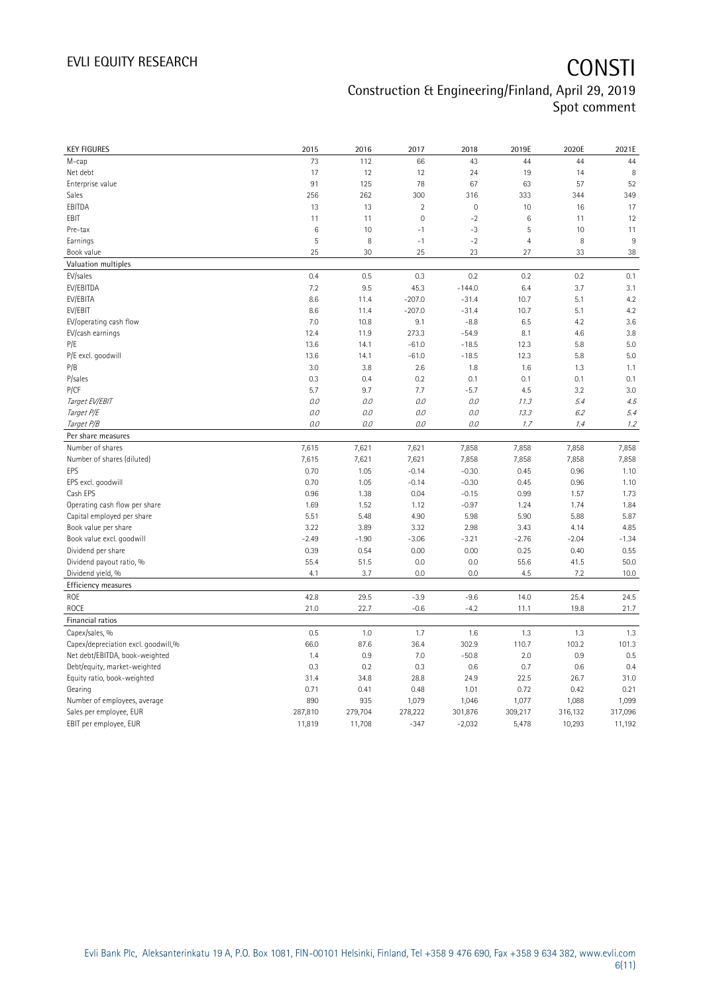## EVLI EQUITY RESEARCH **CONSTI** Construction & Engineering/Finland, April 29, 2019 Spot comment

| <b>KEY FIGURES</b>                  | 2015          | 2016          | 2017                | 2018             | 2019E          | 2020E         | 2021E         |
|-------------------------------------|---------------|---------------|---------------------|------------------|----------------|---------------|---------------|
| M-cap                               | 73            | 112           | 66                  | 43               | 44             | 44            | 44            |
| Net debt                            | 17            | 12            | 12                  | 24               | 19             | 14            | 8             |
| Enterprise value                    | 91            | 125           | 78                  | 67               | 63             | 57            | 52            |
| Sales                               | 256           | 262           | 300                 | 316              | 333            | 344           | 349           |
| EBITDA                              | 13            | 13            | $\overline{2}$      | $\mathbf 0$      | 10             | 16            | 17            |
| EBIT                                | 11            | 11            | $\mathsf{O}\xspace$ | $-2$             | $\,6\,$        | 11            | 12            |
| Pre-tax                             | $\,6$         | 10            | $-1$                | $-3$             | 5              | 10            | 11            |
| Earnings                            | 5             | 8             | $-1$                | $-2$             | $\overline{4}$ | 8             | 9             |
| Book value                          | 25            | 30            | 25                  | 23               | 27             | 33            | 38            |
| Valuation multiples                 |               |               |                     |                  |                |               |               |
| EV/sales                            | 0.4           | 0.5           | 0.3                 | 0.2              | 0.2            | 0.2           | 0.1           |
| EV/EBITDA                           | 7.2           | 9.5           | 45.3                | $-144.0$         | 6.4            | 3.7           | 3.1           |
| EV/EBITA                            | 8.6           | 11.4          | $-207.0$            | $-31.4$          | 10.7           | 5.1           | 4.2           |
| EV/EBIT                             | 8.6           | 11.4          | $-207.0$            | $-31.4$          | 10.7           | 5.1           | 4.2           |
| EV/operating cash flow              | 7.0           | 10.8          | 9.1                 | $-8.8$           | 6.5            | 4.2           | 3.6           |
| EV/cash earnings                    | 12.4          | 11.9          | 273.3               | $-54.9$          | 8.1            | 4.6           | 3.8           |
| P/E                                 | 13.6          | 14.1          | $-61.0$             | $-18.5$          | 12.3           | 5.8           | 5.0           |
| P/E excl. goodwill                  | 13.6          | 14.1          | $-61.0$             | $-18.5$          | 12.3           | 5.8           | 5.0           |
| P/B                                 | 3.0           | 3.8           | 2.6                 | 1.8              | 1.6            | 1.3           | 1.1           |
| P/sales                             | 0.3           | 0.4           | 0.2                 | 0.1              | 0.1            | 0.1           | 0.1           |
| P/CF                                | 5.7           | 9.7           | 7.7                 | $-5.7$           | 4.5            | 3.2           | 3.0           |
| Target EV/EBIT                      | 0.0           | 0.0           | 0.0                 | 0.0              | 11.3           | 5.4           | 4.5           |
| Target P/E                          | 0.0           | 0.0           | 0.0                 | 0.0              | 13.3           | 6.2           | 5.4           |
| Target P/B                          | $O.O$         | 0.0           | 0.0                 | $O.O$            | 1.7            | 1.4           | 1.2           |
| Per share measures                  |               |               |                     |                  |                |               |               |
| Number of shares                    |               |               |                     |                  |                |               |               |
|                                     | 7,615         | 7,621         | 7,621               | 7,858            | 7,858          | 7,858         | 7,858         |
| Number of shares (diluted)<br>EPS   | 7,615<br>0.70 | 7,621<br>1.05 | 7,621<br>$-0.14$    | 7,858<br>$-0.30$ | 7,858<br>0.45  | 7,858<br>0.96 | 7,858<br>1.10 |
|                                     |               |               |                     |                  |                |               |               |
| EPS excl. goodwill                  | 0.70          | 1.05          | $-0.14$             | $-0.30$          | 0.45           | 0.96          | 1.10          |
| Cash EPS                            | 0.96          | 1.38          | 0.04                | $-0.15$          | 0.99           | 1.57          | 1.73          |
| Operating cash flow per share       | 1.69          | 1.52          | 1.12                | $-0.97$          | 1.24           | 1.74          | 1.84          |
| Capital employed per share          | 5.51          | 5.48          | 4.90                | 5.98             | 5.90           | 5.88          | 5.87          |
| Book value per share                | 3.22          | 3.89          | 3.32                | 2.98             | 3.43           | 4.14          | 4.85          |
| Book value excl. goodwill           | $-2.49$       | $-1.90$       | $-3.06$             | $-3.21$          | $-2.76$        | $-2.04$       | $-1.34$       |
| Dividend per share                  | 0.39          | 0.54          | 0.00                | 0.00             | 0.25           | 0.40          | 0.55          |
| Dividend payout ratio, %            | 55.4          | 51.5          | 0.0                 | 0.0              | 55.6           | 41.5          | 50.0          |
| Dividend yield, %                   | 4.1           | 3.7           | 0.0                 | 0.0              | 4.5            | 7.2           | 10.0          |
| Efficiency measures                 |               |               |                     |                  |                |               |               |
| ROE                                 | 42.8          | 29.5          | $-3.9$              | $-9.6$           | 14.0           | 25.4          | 24.5          |
| ROCE                                | 21.0          | 22.7          | $-0.6$              | $-4.2$           | 11.1           | 19.8          | 21.7          |
| Financial ratios                    |               |               |                     |                  |                |               |               |
| Capex/sales, %                      | 0.5           | 1.0           | 1.7                 | 1.6              | 1.3            | 1.3           | 1.3           |
| Capex/depreciation excl. goodwill,% | 66.0          | 87.6          | 36.4                | 302.9            | 110.7          | 103.2         | 101.3         |
| Net debt/EBITDA, book-weighted      | 1.4           | 0.9           | 7.0                 | $-50.8$          | 2.0            | 0.9           | 0.5           |
| Debt/equity, market-weighted        | 0.3           | 0.2           | 0.3                 | 0.6              | 0.7            | 0.6           | 0.4           |
| Equity ratio, book-weighted         | 31.4          | 34.8          | 28.8                | 24.9             | 22.5           | 26.7          | 31.0          |
| Gearing                             | 0.71          | 0.41          | 0.48                | 1.01             | 0.72           | 0.42          | 0.21          |
| Number of employees, average        | 890           | 935           | 1,079               | 1,046            | 1,077          | 1,088         | 1,099         |
| Sales per employee, EUR             | 287,810       | 279,704       | 278,222             | 301,876          | 309,217        | 316,132       | 317,096       |
| EBIT per employee, EUR              | 11,819        | 11,708        | $-347$              | $-2,032$         | 5,478          | 10,293        | 11,192        |
|                                     |               |               |                     |                  |                |               |               |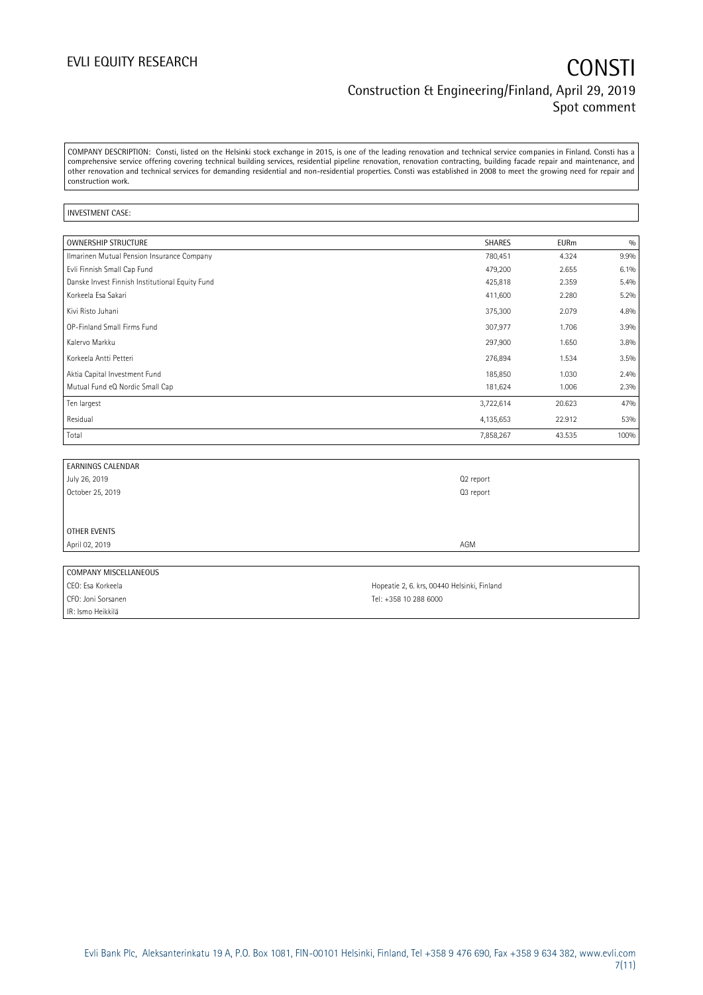## EVLI EQUITY RESEARCH **CONSTI** Construction & Engineering/Finland, April 29, 2019 Spot comment

COMPANY DESCRIPTION: Consti, listed on the Helsinki stock exchange in 2015, is one of the leading renovation and technical service companies in Finland. Consti has a comprehensive service offering covering technical building services, residential pipeline renovation, renovation contracting, building facade repair and maintenance, and other renovation and technical services for demanding residential and non-residential properties. Consti was established in 2008 to meet the growing need for repair and construction work.

### INVESTMENT CASE:

| OWNERSHIP STRUCTURE                             | <b>SHARES</b> | <b>EURm</b> | 0/0  |
|-------------------------------------------------|---------------|-------------|------|
| Ilmarinen Mutual Pension Insurance Company      | 780,451       | 4.324       | 9.9% |
| Evli Finnish Small Cap Fund                     | 479,200       | 2.655       | 6.1% |
| Danske Invest Finnish Institutional Equity Fund | 425,818       | 2.359       | 5.4% |
| Korkeela Esa Sakari                             | 411,600       | 2.280       | 5.2% |
| Kivi Risto Juhani                               | 375,300       | 2.079       | 4.8% |
| OP-Finland Small Firms Fund                     | 307,977       | 1.706       | 3.9% |
| Kalervo Markku                                  | 297,900       | 1.650       | 3.8% |
| Korkeela Antti Petteri                          | 276,894       | 1.534       | 3.5% |
| Aktia Capital Investment Fund                   | 185,850       | 1.030       | 2.4% |
| Mutual Fund eQ Nordic Small Cap                 | 181,624       | 1.006       | 2.3% |
| Ten largest                                     | 3,722,614     | 20.623      | 47%  |
| Residual                                        | 4,135,653     | 22.912      | 53%  |
| Total                                           | 7,858,267     | 43.535      | 100% |

| <b>EARNINGS CALENDAR</b> |           |
|--------------------------|-----------|
| July 26, 2019            | Q2 report |
| October 25, 2019         | Q3 report |
|                          |           |
|                          |           |
| OTHER EVENTS             |           |
| April 02, 2019           | AGM       |
|                          |           |
| COMPANY MISCELLANEOUS    |           |

| ________________________ |                                             |
|--------------------------|---------------------------------------------|
| CEO: Esa Korkeela        | Hopeatie 2, 6. krs, 00440 Helsinki, Finland |
| CFO: Joni Sorsanen       | Tel: +358 10 288 6000                       |
| IR: Ismo Heikkilä        |                                             |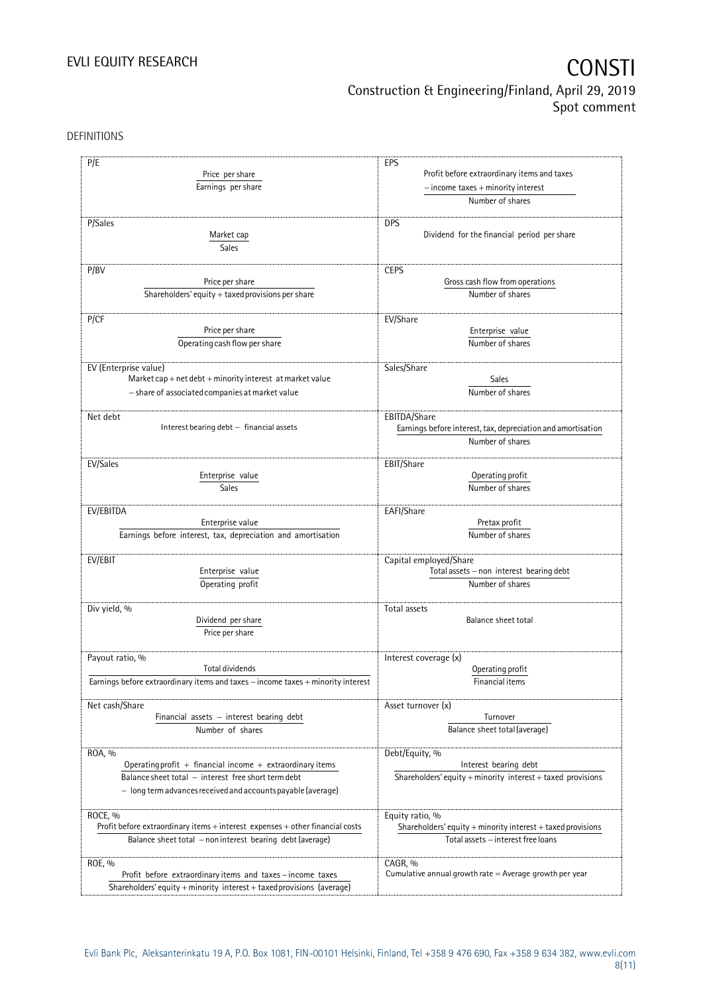## EVLI EQUITY RESEARCH **CONSTI** Construction & Engineering/Finland, April 29, 2019 Spot comment

DEFINITIONS

| P/E                                                                              | EPS                                                                                   |  |  |
|----------------------------------------------------------------------------------|---------------------------------------------------------------------------------------|--|--|
| Price per share                                                                  | Profit before extraordinary items and taxes<br>$-$ income taxes $+$ minority interest |  |  |
|                                                                                  |                                                                                       |  |  |
| Earnings per share                                                               |                                                                                       |  |  |
|                                                                                  | Number of shares                                                                      |  |  |
| P/Sales                                                                          | <b>DPS</b>                                                                            |  |  |
|                                                                                  | Dividend for the financial period per share                                           |  |  |
| Market cap                                                                       |                                                                                       |  |  |
| Sales                                                                            |                                                                                       |  |  |
| P/BV                                                                             | <b>CEPS</b>                                                                           |  |  |
| Price per share                                                                  | Gross cash flow from operations                                                       |  |  |
| Shareholders' equity $+$ taxed provisions per share                              | Number of shares                                                                      |  |  |
|                                                                                  |                                                                                       |  |  |
| P/CF                                                                             | EV/Share                                                                              |  |  |
| Price per share                                                                  | Enterprise value                                                                      |  |  |
| Operating cash flow per share                                                    | Number of shares                                                                      |  |  |
|                                                                                  |                                                                                       |  |  |
| EV (Enterprise value)                                                            | Sales/Share                                                                           |  |  |
| Market cap + net debt + minority interest at market value                        | Sales                                                                                 |  |  |
| - share of associated companies at market value                                  | Number of shares                                                                      |  |  |
|                                                                                  |                                                                                       |  |  |
| Net debt                                                                         | EBITDA/Share                                                                          |  |  |
| Interest bearing debt - financial assets                                         | Earnings before interest, tax, depreciation and amortisation                          |  |  |
|                                                                                  | Number of shares                                                                      |  |  |
|                                                                                  |                                                                                       |  |  |
| EV/Sales                                                                         | EBIT/Share                                                                            |  |  |
| Enterprise value                                                                 | Operating profit                                                                      |  |  |
| Sales                                                                            | Number of shares                                                                      |  |  |
|                                                                                  |                                                                                       |  |  |
| EV/EBITDA                                                                        | EAFI/Share                                                                            |  |  |
| Enterprise value                                                                 | Pretax profit                                                                         |  |  |
| Earnings before interest, tax, depreciation and amortisation                     | Number of shares                                                                      |  |  |
|                                                                                  |                                                                                       |  |  |
| EV/EBIT                                                                          | Capital employed/Share                                                                |  |  |
| Enterprise value                                                                 | Total assets - non interest bearing debt                                              |  |  |
| Operating profit                                                                 | Number of shares                                                                      |  |  |
|                                                                                  |                                                                                       |  |  |
| Div yield, %                                                                     | Total assets                                                                          |  |  |
| Dividend per share                                                               | Balance sheet total                                                                   |  |  |
| Price per share                                                                  |                                                                                       |  |  |
|                                                                                  |                                                                                       |  |  |
| Payout ratio, %                                                                  | Interest coverage (x)                                                                 |  |  |
| <b>Total dividends</b>                                                           | Operating profit                                                                      |  |  |
| Earnings before extraordinary items and taxes - income taxes + minority interest | Financial items                                                                       |  |  |
|                                                                                  |                                                                                       |  |  |
| Net cash/Share                                                                   | Asset turnover (x)                                                                    |  |  |
| Financial assets $-$ interest bearing debt                                       | Turnover                                                                              |  |  |
| Number of shares                                                                 | Balance sheet total (average)                                                         |  |  |
| ROA, %                                                                           | Debt/Equity, %                                                                        |  |  |
| Operating profit $+$ financial income $+$ extraordinary items                    | Interest bearing debt                                                                 |  |  |
| Balance sheet total - interest free short term debt                              | Shareholders' equity $+$ minority interest $+$ taxed provisions                       |  |  |
|                                                                                  |                                                                                       |  |  |
| $-$ long term advances received and accounts payable (average)                   |                                                                                       |  |  |
| ROCE, %                                                                          |                                                                                       |  |  |
| Profit before extraordinary items + interest expenses + other financial costs    | Equity ratio, %                                                                       |  |  |
|                                                                                  | Shareholders' equity + minority interest + taxed provisions                           |  |  |
| Balance sheet total - non interest bearing debt (average)                        | Total assets - interest free loans                                                    |  |  |
| ROE, %                                                                           | CAGR, %                                                                               |  |  |
| Profit before extraordinary items and taxes-income taxes                         | Cumulative annual growth rate $=$ Average growth per year                             |  |  |
| Shareholders' equity + minority interest + taxed provisions (average)            |                                                                                       |  |  |
|                                                                                  |                                                                                       |  |  |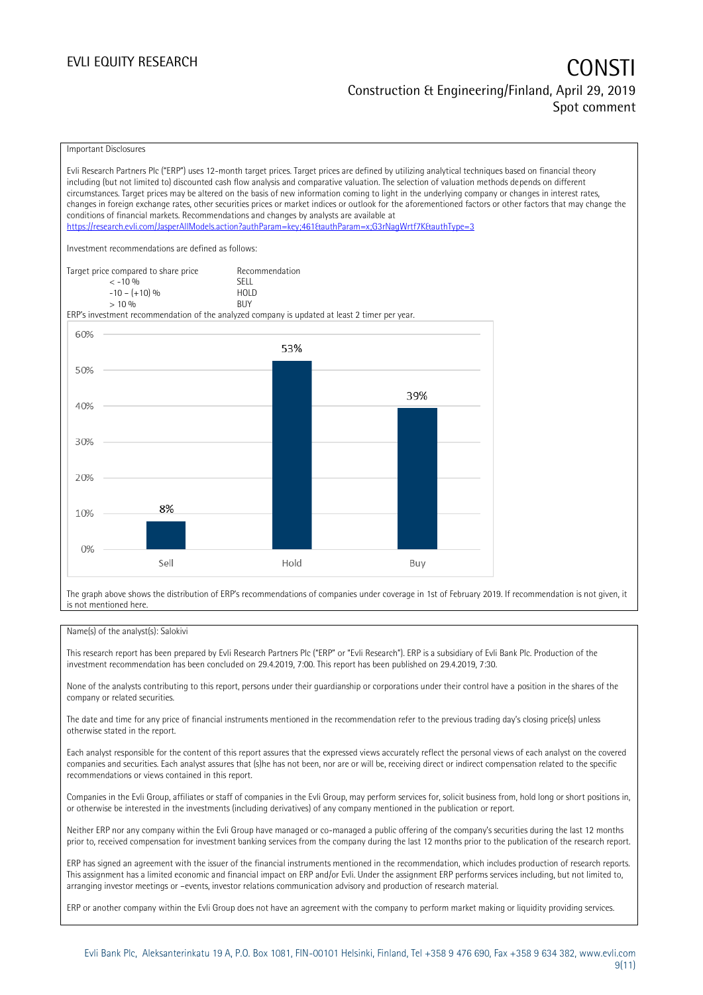Important Disclosures

Evli Research Partners Plc ("ERP") uses 12-month target prices. Target prices are defined by utilizing analytical techniques based on financial theory including (but not limited to) discounted cash flow analysis and comparative valuation. The selection of valuation methods depends on different circumstances. Target prices may be altered on the basis of new information coming to light in the underlying company or changes in interest rates, changes in foreign exchange rates, other securities prices or market indices or outlook for the aforementioned factors or other factors that may change the conditions of financial markets. Recommendations and changes by analysts are available at <https://research.evli.com/JasperAllModels.action?authParam=key;461&authParam=x;G3rNagWrtf7K&authType=3> Investment recommendations are defined as follows: Target price compared to share price Recommendation<br>  $\leq -10\%$  $\langle 5, 10, 10 \rangle$  SELL<br> $\langle -10, 10, 10 \rangle$  SELL  $-10 - (+10) \%$  HOL<br>  $> 10 \%$  RIJY  $> 10\%$ ERP's investment recommendation of the analyzed company is updated at least 2 timer per year. 60% 53% 50% 39% 40% 30% 20% 8% 10%  $0%$ Sell Hold Buy

The graph above shows the distribution of ERP's recommendations of companies under coverage in 1st of February 2019. If recommendation is not given, it is not mentioned here.

### Name(s) of the analyst(s): Salokivi

This research report has been prepared by Evli Research Partners Plc ("ERP" or "Evli Research"). ERP is a subsidiary of Evli Bank Plc. Production of the investment recommendation has been concluded on 29.4.2019, 7:00. This report has been published on 29.4.2019, 7:30.

None of the analysts contributing to this report, persons under their guardianship or corporations under their control have a position in the shares of the company or related securities.

The date and time for any price of financial instruments mentioned in the recommendation refer to the previous trading day's closing price(s) unless otherwise stated in the report.

Each analyst responsible for the content of this report assures that the expressed views accurately reflect the personal views of each analyst on the covered companies and securities. Each analyst assures that (s)he has not been, nor are or will be, receiving direct or indirect compensation related to the specific recommendations or views contained in this report.

Companies in the Evli Group, affiliates or staff of companies in the Evli Group, may perform services for, solicit business from, hold long or short positions in, or otherwise be interested in the investments (including derivatives) of any company mentioned in the publication or report.

Neither ERP nor any company within the Evli Group have managed or co-managed a public offering of the company's securities during the last 12 months prior to, received compensation for investment banking services from the company during the last 12 months prior to the publication of the research report.

ERP has signed an agreement with the issuer of the financial instruments mentioned in the recommendation, which includes production of research reports. This assignment has a limited economic and financial impact on ERP and/or Evli. Under the assignment ERP performs services including, but not limited to, arranging investor meetings or –events, investor relations communication advisory and production of research material.

ERP or another company within the Evli Group does not have an agreement with the company to perform market making or liquidity providing services.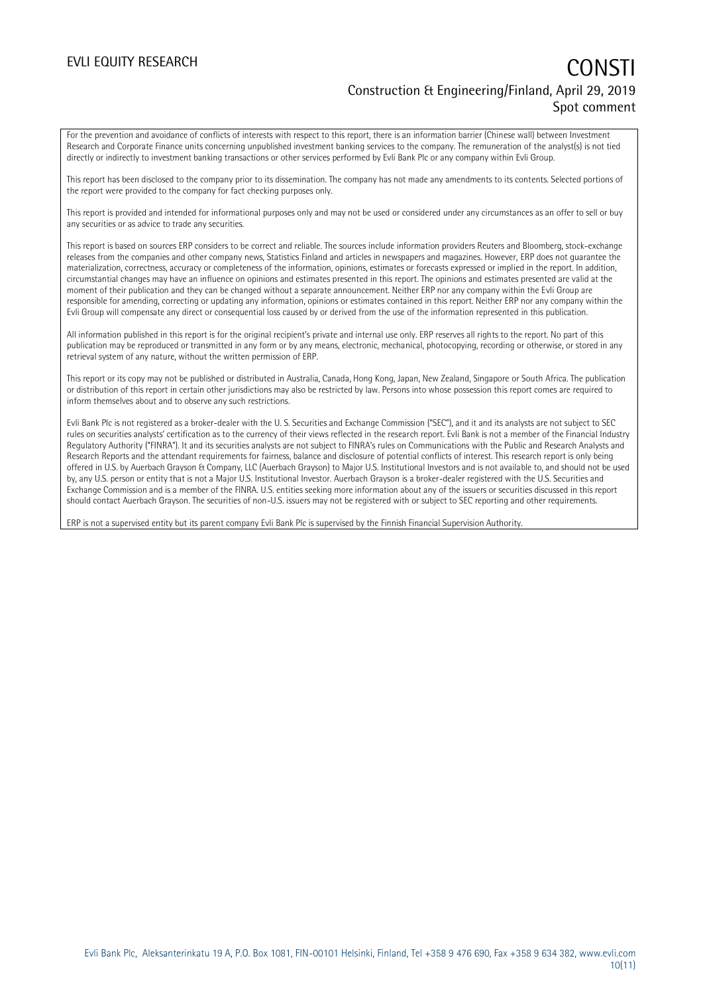## EVLI EQUITY RESEARCH **CONSTITUTE OF A CONSTITUTE OF A CONSTITUTE OF A CONSTITUTE OF A CONSTITUTE OF A CONSTITUTE** Construction & Engineering/Finland, April 29, 2019 Spot comment

For the prevention and avoidance of conflicts of interests with respect to this report, there is an information barrier (Chinese wall) between Investment Research and Corporate Finance units concerning unpublished investment banking services to the company. The remuneration of the analyst(s) is not tied directly or indirectly to investment banking transactions or other services performed by Evli Bank Plc or any company within Evli Group.

This report has been disclosed to the company prior to its dissemination. The company has not made any amendments to its contents. Selected portions of the report were provided to the company for fact checking purposes only.

This report is provided and intended for informational purposes only and may not be used or considered under any circumstances as an offer to sell or buy any securities or as advice to trade any securities.

This report is based on sources ERP considers to be correct and reliable. The sources include information providers Reuters and Bloomberg, stock-exchange releases from the companies and other company news, Statistics Finland and articles in newspapers and magazines. However, ERP does not guarantee the materialization, correctness, accuracy or completeness of the information, opinions, estimates or forecasts expressed or implied in the report. In addition, circumstantial changes may have an influence on opinions and estimates presented in this report. The opinions and estimates presented are valid at the moment of their publication and they can be changed without a separate announcement. Neither ERP nor any company within the Evli Group are responsible for amending, correcting or updating any information, opinions or estimates contained in this report. Neither ERP nor any company within the Evli Group will compensate any direct or consequential loss caused by or derived from the use of the information represented in this publication.

All information published in this report is for the original recipient's private and internal use only. ERP reserves all rights to the report. No part of this publication may be reproduced or transmitted in any form or by any means, electronic, mechanical, photocopying, recording or otherwise, or stored in any retrieval system of any nature, without the written permission of ERP.

This report or its copy may not be published or distributed in Australia, Canada, Hong Kong, Japan, New Zealand, Singapore or South Africa. The publication or distribution of this report in certain other jurisdictions may also be restricted by law. Persons into whose possession this report comes are required to inform themselves about and to observe any such restrictions.

Evli Bank Plc is not registered as a broker-dealer with the U. S. Securities and Exchange Commission ("SEC"), and it and its analysts are not subject to SEC rules on securities analysts' certification as to the currency of their views reflected in the research report. Evli Bank is not a member of the Financial Industry Regulatory Authority ("FINRA"). It and its securities analysts are not subject to FINRA's rules on Communications with the Public and Research Analysts and Research Reports and the attendant requirements for fairness, balance and disclosure of potential conflicts of interest. This research report is only being offered in U.S. by Auerbach Grayson & Company, LLC (Auerbach Grayson) to Major U.S. Institutional Investors and is not available to, and should not be used by, any U.S. person or entity that is not a Major U.S. Institutional Investor. Auerbach Grayson is a broker-dealer registered with the U.S. Securities and Exchange Commission and is a member of the FINRA. U.S. entities seeking more information about any of the issuers or securities discussed in this report should contact Auerbach Grayson. The securities of non-U.S. issuers may not be registered with or subject to SEC reporting and other requirements.

ERP is not a supervised entity but its parent company Evli Bank Plc is supervised by the Finnish Financial Supervision Authority.